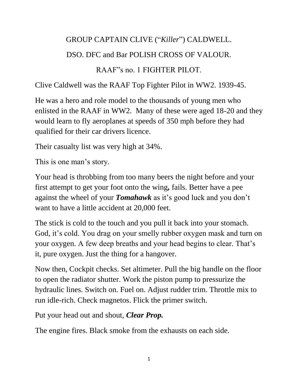### GROUP CAPTAIN CLIVE ("*Killer*") CALDWELL.

### DSO. DFC and Bar POLISH CROSS OF VALOUR.

### RAAF"s no. 1 FIGHTER PILOT.

Clive Caldwell was the RAAF Top Fighter Pilot in WW2. 1939-45.

He was a hero and role model to the thousands of young men who enlisted in the RAAF in WW2. Many of these were aged 18-20 and they would learn to fly aeroplanes at speeds of 350 mph before they had qualified for their car drivers licence.

Their casualty list was very high at 34%.

This is one man's story.

Your head is throbbing from too many beers the night before and your first attempt to get your foot onto the wing*,* fails. Better have a pee against the wheel of your *Tomahawk* as it's good luck and you don't want to have a little accident at 20,000 feet.

The stick is cold to the touch and you pull it back into your stomach. God, it's cold. You drag on your smelly rubber oxygen mask and turn on your oxygen. A few deep breaths and your head begins to clear. That's it, pure oxygen. Just the thing for a hangover.

Now then, Cockpit checks. Set altimeter. Pull the big handle on the floor to open the radiator shutter. Work the piston pump to pressurize the hydraulic lines. Switch on. Fuel on. Adjust rudder trim. Throttle mix to run idle-rich. Check magnetos. Flick the primer switch.

Put your head out and shout, *Clear Prop.*

The engine fires. Black smoke from the exhausts on each side.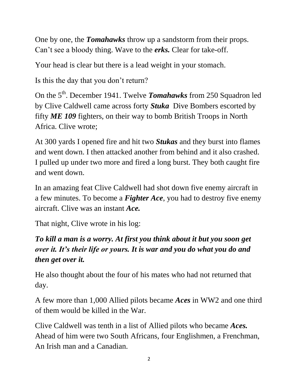One by one, the *Tomahawks* throw up a sandstorm from their props. Can't see a bloody thing. Wave to the *erks.* Clear for take-off.

Your head is clear but there is a lead weight in your stomach.

Is this the day that you don't return?

On the 5th. December 1941. Twelve *Tomahawks* from 250 Squadron led by Clive Caldwell came across forty *Stuka* Dive Bombers escorted by fifty *ME 109* fighters, on their way to bomb British Troops in North Africa. Clive wrote;

At 300 yards I opened fire and hit two *Stukas* and they burst into flames and went down. I then attacked another from behind and it also crashed. I pulled up under two more and fired a long burst. They both caught fire and went down.

In an amazing feat Clive Caldwell had shot down five enemy aircraft in a few minutes. To become a *Fighter Ace*, you had to destroy five enemy aircraft. Clive was an instant *Ace.*

That night, Clive wrote in his log:

## *To kill a man is a worry. At first you think about it but you soon get over it. It's their life or yours. It is war and you do what you do and then get over it.*

He also thought about the four of his mates who had not returned that day.

A few more than 1,000 Allied pilots became *Aces* in WW2 and one third of them would be killed in the War.

Clive Caldwell was tenth in a list of Allied pilots who became *Aces.* Ahead of him were two South Africans, four Englishmen, a Frenchman, An Irish man and a Canadian.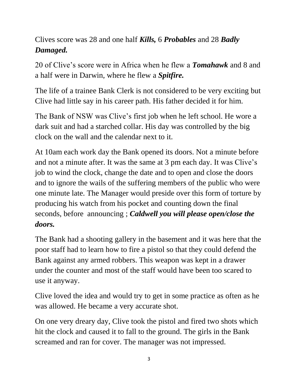# Clives score was 28 and one half *Kills,* 6 *Probables* and 28 *Badly Damaged.*

20 of Clive's score were in Africa when he flew a *Tomahawk* and 8 and a half were in Darwin, where he flew a *Spitfire.* 

The life of a trainee Bank Clerk is not considered to be very exciting but Clive had little say in his career path. His father decided it for him.

The Bank of NSW was Clive's first job when he left school. He wore a dark suit and had a starched collar. His day was controlled by the big clock on the wall and the calendar next to it.

At 10am each work day the Bank opened its doors. Not a minute before and not a minute after. It was the same at 3 pm each day. It was Clive's job to wind the clock, change the date and to open and close the doors and to ignore the wails of the suffering members of the public who were one minute late. The Manager would preside over this form of torture by producing his watch from his pocket and counting down the final seconds, before announcing ; *Caldwell you will please open/close the doors.*

The Bank had a shooting gallery in the basement and it was here that the poor staff had to learn how to fire a pistol so that they could defend the Bank against any armed robbers. This weapon was kept in a drawer under the counter and most of the staff would have been too scared to use it anyway.

Clive loved the idea and would try to get in some practice as often as he was allowed. He became a very accurate shot.

On one very dreary day, Clive took the pistol and fired two shots which hit the clock and caused it to fall to the ground. The girls in the Bank screamed and ran for cover. The manager was not impressed.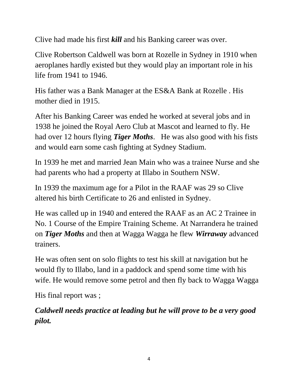Clive had made his first *kill* and his Banking career was over.

Clive Robertson Caldwell was born at Rozelle in Sydney in 1910 when aeroplanes hardly existed but they would play an important role in his life from 1941 to 1946.

His father was a Bank Manager at the ES&A Bank at Rozelle . His mother died in 1915.

After his Banking Career was ended he worked at several jobs and in 1938 he joined the Royal Aero Club at Mascot and learned to fly. He had over 12 hours flying *Tiger Moths*. He was also good with his fists and would earn some cash fighting at Sydney Stadium.

In 1939 he met and married Jean Main who was a trainee Nurse and she had parents who had a property at Illabo in Southern NSW.

In 1939 the maximum age for a Pilot in the RAAF was 29 so Clive altered his birth Certificate to 26 and enlisted in Sydney.

He was called up in 1940 and entered the RAAF as an AC 2 Trainee in No. 1 Course of the Empire Training Scheme. At Narrandera he trained on *Tiger Moths* and then at Wagga Wagga he flew *Wirraway* advanced trainers.

He was often sent on solo flights to test his skill at navigation but he would fly to Illabo, land in a paddock and spend some time with his wife. He would remove some petrol and then fly back to Wagga Wagga

His final report was ;

*Caldwell needs practice at leading but he will prove to be a very good pilot.*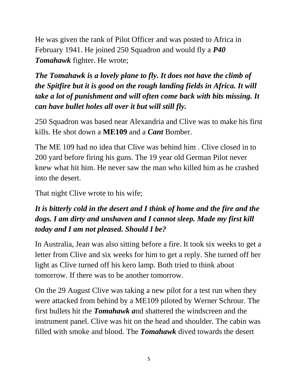He was given the rank of Pilot Officer and was posted to Africa in February 1941. He joined 250 Squadron and would fly a *P40 Tomahawk* fighter. He wrote;

*The Tomahawk is a lovely plane to fly. It does not have the climb of the Spitfire but it is good on the rough landing fields in Africa. It will take a lot of punishment and will often come back with bits missing. It can have bullet holes all over it but will still fly.*

250 Squadron was based near Alexandria and Clive was to make his first kills. He shot down a **ME109** and a *Cant* Bomber.

The ME 109 had no idea that Clive was behind him . Clive closed in to 200 yard before firing his guns. The 19 year old German Pilot never knew what hit him. He never saw the man who killed him as he crashed into the desert.

That night Clive wrote to his wife;

### *It is bitterly cold in the desert and I think of home and the fire and the dogs. I am dirty and unshaven and I cannot sleep. Made my first kill today and I am not pleased. Should I be?*

In Australia, Jean was also sitting before a fire. It took six weeks to get a letter from Clive and six weeks for him to get a reply. She turned off her light as Clive turned off his kero lamp. Both tried to think about tomorrow. If there was to be another tomorrow.

On the 29 August Clive was taking a new pilot for a test run when they were attacked from behind by a ME109 piloted by Werner Schrour. The first bullets hit the *Tomahawk a*nd shattered the windscreen and the instrument panel. Clive was hit on the head and shoulder. The cabin was filled with smoke and blood. The *Tomahawk* dived towards the desert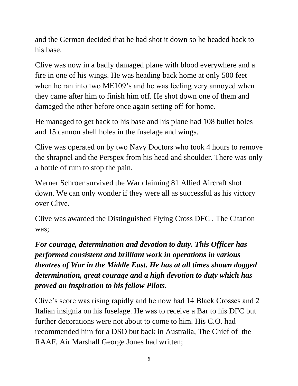and the German decided that he had shot it down so he headed back to his base.

Clive was now in a badly damaged plane with blood everywhere and a fire in one of his wings. He was heading back home at only 500 feet when he ran into two ME109's and he was feeling very annoyed when they came after him to finish him off. He shot down one of them and damaged the other before once again setting off for home.

He managed to get back to his base and his plane had 108 bullet holes and 15 cannon shell holes in the fuselage and wings.

Clive was operated on by two Navy Doctors who took 4 hours to remove the shrapnel and the Perspex from his head and shoulder. There was only a bottle of rum to stop the pain.

Werner Schroer survived the War claiming 81 Allied Aircraft shot down. We can only wonder if they were all as successful as his victory over Clive.

Clive was awarded the Distinguished Flying Cross DFC . The Citation was;

*For courage, determination and devotion to duty. This Officer has performed consistent and brilliant work in operations in various theatres of War in the Middle East. He has at all times shown dogged determination, great courage and a high devotion to duty which has proved an inspiration to his fellow Pilots.* 

Clive's score was rising rapidly and he now had 14 Black Crosses and 2 Italian insignia on his fuselage. He was to receive a Bar to his DFC but further decorations were not about to come to him. His C.O. had recommended him for a DSO but back in Australia, The Chief of the RAAF, Air Marshall George Jones had written;